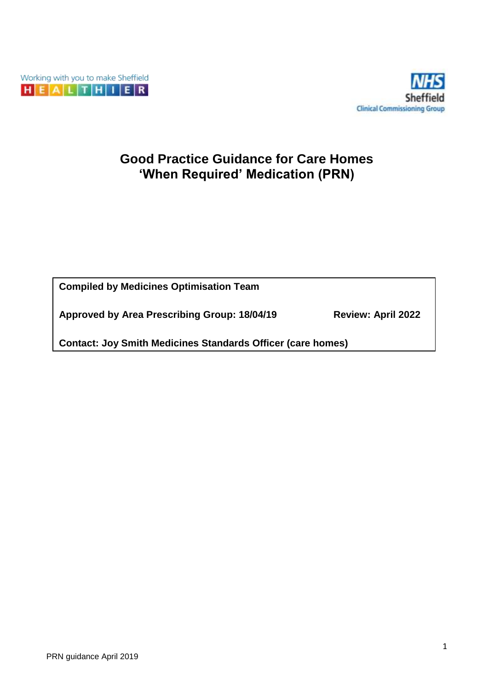



# **Good Practice Guidance for Care Homes 'When Required' Medication (PRN)**

**Compiled by Medicines Optimisation Team**

**Approved by Area Prescribing Group: 18/04/19 Review: April 2022**

**Contact: Joy Smith Medicines Standards Officer (care homes)**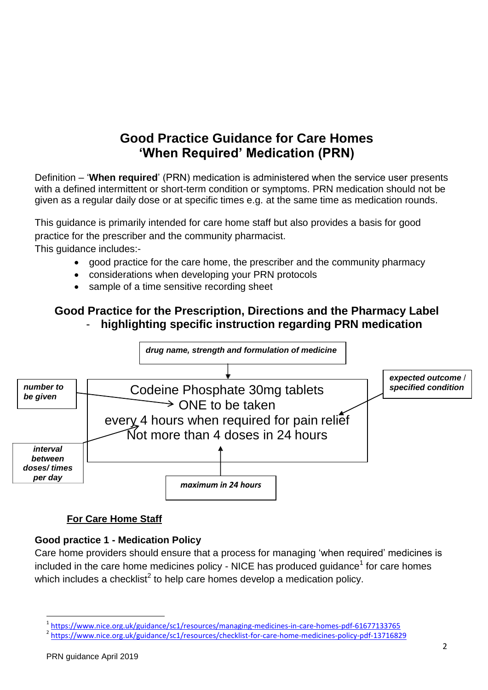# **Good Practice Guidance for Care Homes 'When Required' Medication (PRN)**

Definition – '**When required**' (PRN) medication is administered when the service user presents with a defined intermittent or short-term condition or symptoms. PRN medication should not be given as a regular daily dose or at specific times e.g. at the same time as medication rounds.

This guidance is primarily intended for care home staff but also provides a basis for good practice for the prescriber and the community pharmacist. This guidance includes:-

- good practice for the care home, the prescriber and the community pharmacy
- considerations when developing your PRN protocols
- sample of a time sensitive recording sheet

## **Good Practice for the Prescription, Directions and the Pharmacy Label** - **highlighting specific instruction regarding PRN medication**



#### **For Care Home Staff**

#### **Good practice 1 - Medication Policy**

Care home providers should ensure that a process for managing 'when required' medicines is included in the care home medicines policy - NICE has produced [guidance](https://www.nice.org.uk/guidance/sc1/resources)<sup>1</sup> for care homes which includes a [checklist](https://www.nice.org.uk/guidance/sc1/resources/checklist-for-care-home-medicines-policy-pdf-13716829)<sup>2</sup> to help care homes develop a medication policy.

 $\overline{a}$ 

<sup>1</sup> <https://www.nice.org.uk/guidance/sc1/resources/managing-medicines-in-care-homes-pdf-61677133765>

<sup>2</sup> <https://www.nice.org.uk/guidance/sc1/resources/checklist-for-care-home-medicines-policy-pdf-13716829>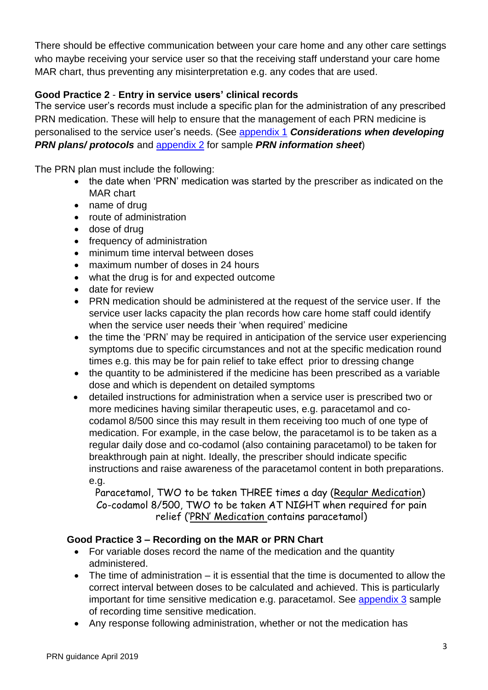There should be effective communication between your care home and any other care settings who maybe receiving your service user so that the receiving staff understand your care home MAR chart, thus preventing any misinterpretation e.g. any codes that are used.

### **Good Practice 2** - **Entry in service users' clinical records**

The service user's records must include a specific plan for the administration of any prescribed PRN medication. These will help to ensure that the management of each PRN medicine is personalised to the service user's needs. (See [appendix 1](#page-4-0) *Considerations when developing PRN plans/ protocols* and [appendix 2](#page-7-0) for sample *PRN information sheet*)

The PRN plan must include the following:

- the date when 'PRN' medication was started by the prescriber as indicated on the MAR chart
- name of drug
- route of administration
- dose of drug
- frequency of administration
- minimum time interval between doses
- maximum number of doses in 24 hours
- what the drug is for and expected outcome
- date for review
- PRN medication should be administered at the request of the service user. If the service user lacks capacity the plan records how care home staff could identify when the service user needs their 'when required' medicine
- the time the 'PRN' may be required in anticipation of the service user experiencing symptoms due to specific circumstances and not at the specific medication round times e.g. this may be for pain relief to take effect prior to dressing change
- the quantity to be administered if the medicine has been prescribed as a variable dose and which is dependent on detailed symptoms
- detailed instructions for administration when a service user is prescribed two or more medicines having similar therapeutic uses, e.g. paracetamol and cocodamol 8/500 since this may result in them receiving too much of one type of medication. For example, in the case below, the paracetamol is to be taken as a regular daily dose and co-codamol (also containing paracetamol) to be taken for breakthrough pain at night. Ideally, the prescriber should indicate specific instructions and raise awareness of the paracetamol content in both preparations. e.g.

Paracetamol, TWO to be taken THREE times a day (Regular Medication) Co-codamol 8/500, TWO to be taken AT NIGHT when required for pain relief ('PRN' Medication contains paracetamol)

#### **Good Practice 3 – Recording on the MAR or PRN Chart**

- For variable doses record the name of the medication and the quantity administered.
- The time of administration it is essential that the time is documented to allow the correct interval between doses to be calculated and achieved. This is particularly important for time sensitive medication e.g. paracetamol. See [appendix 3](#page-8-0) sample of recording time sensitive medication.
- Any response following administration, whether or not the medication has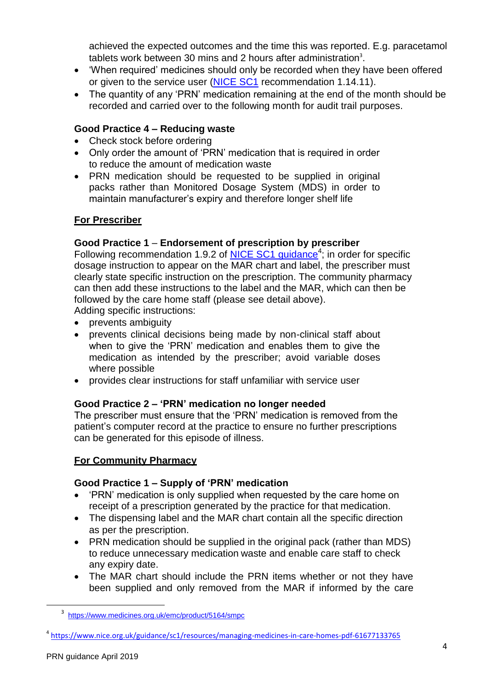achieved the expected outcomes and the time this was reported. E.g. paracetamol tablets work between 30 mins and 2 hours after administration<sup>3</sup>.

- 'When required' medicines should only be recorded when they have been offered or given to the service user [\(NICE SC1](https://www.nice.org.uk/guidance/sc1) recommendation 1.14.11).
- The quantity of any 'PRN' medication remaining at the end of the month should be recorded and carried over to the following month for audit trail purposes.

### **Good Practice 4 – Reducing waste**

- Check stock before ordering
- Only order the amount of 'PRN' medication that is required in order to reduce the amount of medication waste
- PRN medication should be requested to be supplied in original packs rather than Monitored Dosage System (MDS) in order to maintain manufacturer's expiry and therefore longer shelf life

#### **For Prescriber**

#### **Good Practice 1** – **Endorsement of prescription by prescriber**

Following recommendation 1.9.2 of  $NICE$   $SC1$  guidance<sup>4</sup>; in order for specific dosage instruction to appear on the MAR chart and label, the prescriber must clearly state specific instruction on the prescription. The community pharmacy can then add these instructions to the label and the MAR, which can then be followed by the care home staff (please see detail above). Adding specific instructions:

• prevents ambiguity

- prevents clinical decisions being made by non-clinical staff about when to give the 'PRN' medication and enables them to give the medication as intended by the prescriber; avoid variable doses where possible
- provides clear instructions for staff unfamiliar with service user

#### **Good Practice 2 – 'PRN' medication no longer needed**

The prescriber must ensure that the 'PRN' medication is removed from the patient's computer record at the practice to ensure no further prescriptions can be generated for this episode of illness.

#### **For Community Pharmacy**

#### **Good Practice 1 – Supply of 'PRN' medication**

- 'PRN' medication is only supplied when requested by the care home on receipt of a prescription generated by the practice for that medication.
- The dispensing label and the MAR chart contain all the specific direction as per the prescription.
- PRN medication should be supplied in the original pack (rather than MDS) to reduce unnecessary medication waste and enable care staff to check any expiry date.
- The MAR chart should include the PRN items whether or not they have been supplied and only removed from the MAR if informed by the care

**.** 

<sup>3</sup> <https://www.medicines.org.uk/emc/product/5164/smpc>

<sup>4</sup> <https://www.nice.org.uk/guidance/sc1/resources/managing-medicines-in-care-homes-pdf-61677133765>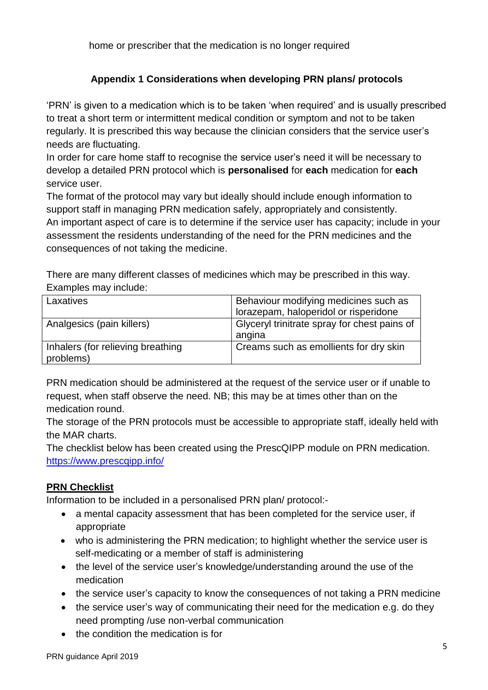home or prescriber that the medication is no longer required

### **Appendix 1 Considerations when developing PRN plans/ protocols**

<span id="page-4-0"></span>'PRN' is given to a medication which is to be taken 'when required' and is usually prescribed to treat a short term or intermittent medical condition or symptom and not to be taken regularly. It is prescribed this way because the clinician considers that the service user's needs are fluctuating.

In order for care home staff to recognise the service user's need it will be necessary to develop a detailed PRN protocol which is **personalised** for **each** medication for **each** service user.

The format of the protocol may vary but ideally should include enough information to support staff in managing PRN medication safely, appropriately and consistently. An important aspect of care is to determine if the service user has capacity; include in your assessment the residents understanding of the need for the PRN medicines and the consequences of not taking the medicine.

There are many different classes of medicines which may be prescribed in this way. Examples may include:

| Laxatives                                      | Behaviour modifying medicines such as<br>lorazepam, haloperidol or risperidone |
|------------------------------------------------|--------------------------------------------------------------------------------|
| Analgesics (pain killers)                      | Glyceryl trinitrate spray for chest pains of<br>angina                         |
| Inhalers (for relieving breathing<br>problems) | Creams such as emollients for dry skin                                         |

PRN medication should be administered at the request of the service user or if unable to request, when staff observe the need. NB; this may be at times other than on the medication round.

The storage of the PRN protocols must be accessible to appropriate staff, ideally held with the MAR charts.

The checklist below has been created using the PrescQIPP module on PRN medication. <https://www.prescqipp.info/>

#### **PRN Checklist**

Information to be included in a personalised PRN plan/ protocol:-

- a mental capacity assessment that has been completed for the service user, if appropriate
- who is administering the PRN medication; to highlight whether the service user is self-medicating or a member of staff is administering
- the level of the service user's knowledge/understanding around the use of the medication
- the service user's capacity to know the consequences of not taking a PRN medicine
- the service user's way of communicating their need for the medication e.g. do they need prompting /use non-verbal communication
- the condition the medication is for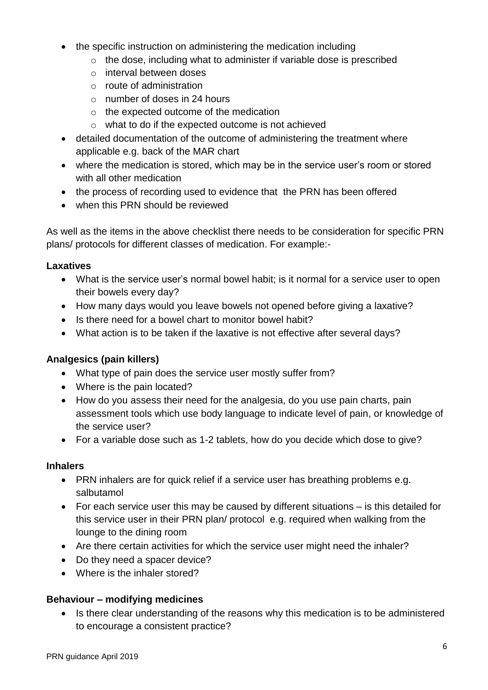- the specific instruction on administering the medication including
	- o the dose, including what to administer if variable dose is prescribed
	- o interval between doses
	- o route of administration
	- $\circ$  number of doses in 24 hours
	- o the expected outcome of the medication
	- o what to do if the expected outcome is not achieved
- detailed documentation of the outcome of administering the treatment where applicable e.g. back of the MAR chart
- where the medication is stored, which may be in the service user's room or stored with all other medication
- the process of recording used to evidence that the PRN has been offered
- when this PRN should be reviewed

As well as the items in the above checklist there needs to be consideration for specific PRN plans/ protocols for different classes of medication. For example:-

#### **Laxatives**

- What is the service user's normal bowel habit; is it normal for a service user to open their bowels every day?
- How many days would you leave bowels not opened before giving a laxative?
- Is there need for a bowel chart to monitor bowel habit?
- What action is to be taken if the laxative is not effective after several days?

### **Analgesics (pain killers)**

- What type of pain does the service user mostly suffer from?
- Where is the pain located?
- How do you assess their need for the analgesia, do you use pain charts, pain assessment tools which use body language to indicate level of pain, or knowledge of the service user?
- For a variable dose such as 1-2 tablets, how do you decide which dose to give?

#### **Inhalers**

- PRN inhalers are for quick relief if a service user has breathing problems e.g. salbutamol
- For each service user this may be caused by different situations is this detailed for this service user in their PRN plan/ protocol e.g. required when walking from the lounge to the dining room
- Are there certain activities for which the service user might need the inhaler?
- Do they need a spacer device?
- Where is the inhaler stored?

#### **Behaviour – modifying medicines**

• Is there clear understanding of the reasons why this medication is to be administered to encourage a consistent practice?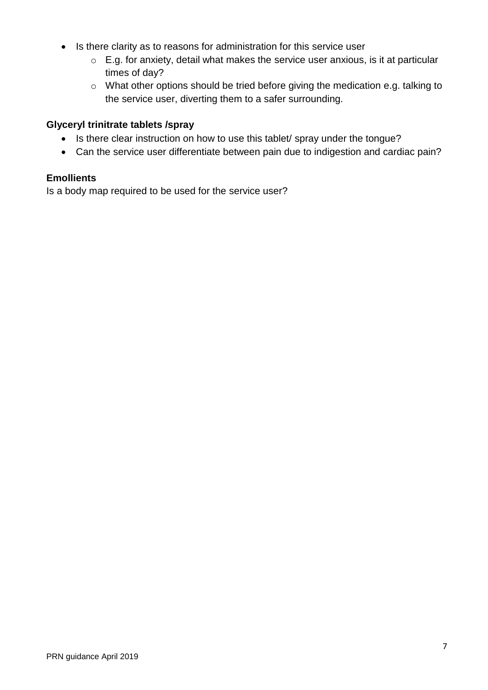- Is there clarity as to reasons for administration for this service user
	- $\circ$  E.g. for anxiety, detail what makes the service user anxious, is it at particular times of day?
	- o What other options should be tried before giving the medication e.g. talking to the service user, diverting them to a safer surrounding.

#### **Glyceryl trinitrate tablets /spray**

- Is there clear instruction on how to use this tablet/ spray under the tongue?
- Can the service user differentiate between pain due to indigestion and cardiac pain?

#### **Emollients**

Is a body map required to be used for the service user?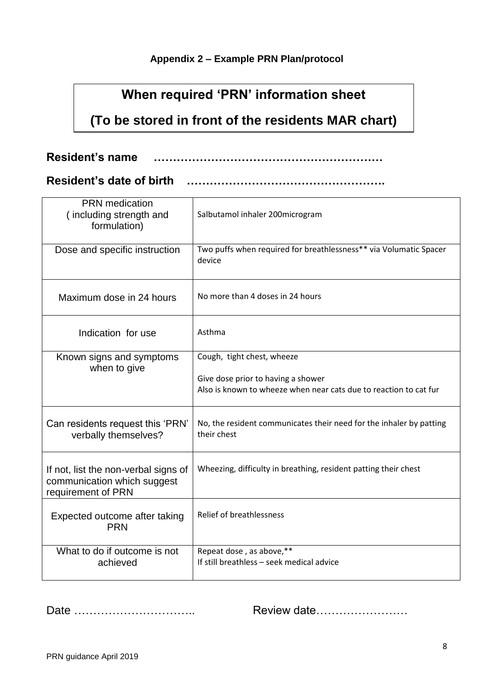## **Appendix 2 – Example PRN Plan/protocol**

# **When required 'PRN' information sheet**

# <span id="page-7-0"></span>**(To be stored in front of the residents MAR chart)**

**Resident's name ……………………………………………………**

## **Resident's date of birth …………………………………………….**

| <b>PRN</b> medication<br>(including strength and<br>formulation)                          | Salbutamol inhaler 200microgram                                                    |
|-------------------------------------------------------------------------------------------|------------------------------------------------------------------------------------|
| Dose and specific instruction                                                             | Two puffs when required for breathlessness** via Volumatic Spacer<br>device        |
| Maximum dose in 24 hours                                                                  | No more than 4 doses in 24 hours                                                   |
| Indication for use                                                                        | Asthma                                                                             |
| Known signs and symptoms<br>when to give                                                  | Cough, tight chest, wheeze<br>Give dose prior to having a shower                   |
|                                                                                           | Also is known to wheeze when near cats due to reaction to cat fur                  |
| Can residents request this 'PRN'<br>verbally themselves?                                  | No, the resident communicates their need for the inhaler by patting<br>their chest |
| If not, list the non-verbal signs of<br>communication which suggest<br>requirement of PRN | Wheezing, difficulty in breathing, resident patting their chest                    |
| Expected outcome after taking<br><b>PRN</b>                                               | <b>Relief of breathlessness</b>                                                    |
| What to do if outcome is not<br>achieved                                                  | Repeat dose, as above,**<br>If still breathless - seek medical advice              |

Date ………………………….. Review date……………………